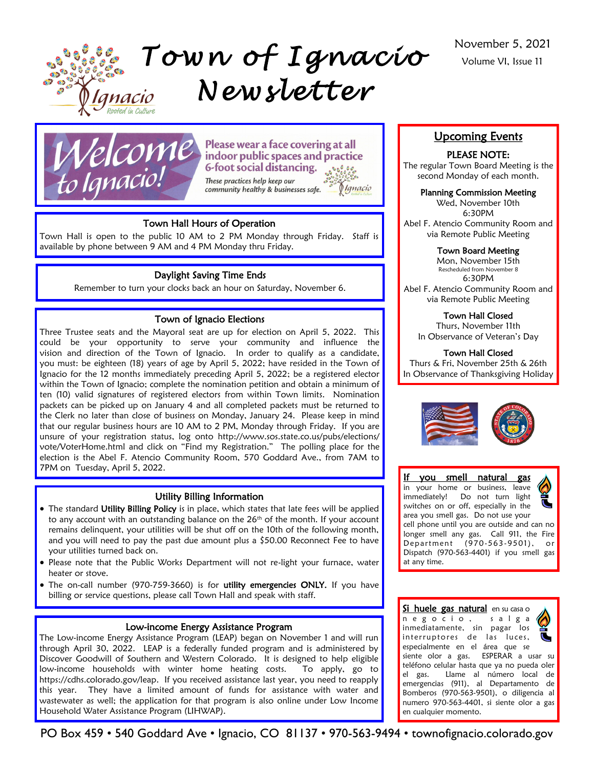

*T ow n o f I g n a c i o N e w s l e t t e r* 



# Please wear a face covering at all indoor public spaces and practice 6-foot social distancing. These practices help keep our

community healthy & businesses safe.

*<u>Manacio</u>* 

# Upcoming Events

November 5, 2021 Volume VI, Issue 11

# PLEASE NOTE:

The regular Town Board Meeting is the second Monday of each month.

# Planning Commission Meeting

Wed, November 10th 6:30PM Abel F. Atencio Community Room and via Remote Public Meeting

# Town Board Meeting

Mon, November 15th Rescheduled from November 8 6:30PM Abel F. Atencio Community Room and via Remote Public Meeting

# Town Hall Closed

Thurs, November 11th In Observance of Veteran's Day

# Town Hall Closed

Thurs & Fri, November 25th & 26th In Observance of Thanksgiving Holiday



If you smell natural gas in your home or business, leave immediately! Do not turn light switches on or off, especially in the area you smell gas. Do not use your cell phone until you are outside and can no longer smell any gas. Call 911, the Fire Department (970-563-9501), or Dispatch (970-563-4401) if you smell gas at any time.

Si huele gas natural en su casa o n e g o c i o , s a l g a inmediatamente, sin pagar los interruptores de las luces, especialmente en el área que se siente olor a gas. ESPERAR a usar su teléfono celular hasta que ya no pueda oler el gas. Llame al número local de emergencias (911), al Departamento de Bomberos (970-563-9501), o diligencia al numero 970-563-4401, si siente olor a gas en cualquier momento.

# Town of Ignacio Elections

Daylight Saving Time Ends Remember to turn your clocks back an hour on Saturday, November 6.

Town Hall Hours of Operation Town Hall is open to the public 10 AM to 2 PM Monday through Friday. Staff is

available by phone between 9 AM and 4 PM Monday thru Friday.

Three Trustee seats and the Mayoral seat are up for election on April 5, 2022. This could be your opportunity to serve your community and influence the vision and direction of the Town of Ignacio. In order to qualify as a candidate, you must: be eighteen (18) years of age by April 5, 2022; have resided in the Town of Ignacio for the 12 months immediately preceding April 5, 2022; be a registered elector within the Town of Ignacio; complete the nomination petition and obtain a minimum of ten (10) valid signatures of registered electors from within Town limits. Nomination packets can be picked up on January 4 and all completed packets must be returned to the Clerk no later than close of business on Monday, January 24. Please keep in mind that our regular business hours are 10 AM to 2 PM, Monday through Friday. If you are unsure of your registration status, log onto http://www.sos.state.co.us/pubs/elections/ vote/VoterHome.html and click on "Find my Registration." The polling place for the election is the Abel F. Atencio Community Room, 570 Goddard Ave., from 7AM to 7PM on Tuesday, April 5, 2022.

# Utility Billing Information

- The standard Utility Billing Policy is in place, which states that late fees will be applied to any account with an outstanding balance on the  $26<sup>th</sup>$  of the month. If your account remains delinquent, your utilities will be shut off on the 10th of the following month, and you will need to pay the past due amount plus a \$50.00 Reconnect Fee to have your utilities turned back on.
- Please note that the Public Works Department will not re-light your furnace, water heater or stove.
- The on-call number (970-759-3660) is for utility emergencies ONLY. If you have billing or service questions, please call Town Hall and speak with staff.

# Low-income Energy Assistance Program

The Low-income Energy Assistance Program (LEAP) began on November 1 and will run through April 30, 2022. LEAP is a federally funded program and is administered by Discover Goodwill of Southern and Western Colorado. It is designed to help eligible low-income households with winter home heating costs. To apply, go to https://cdhs.colorado.gov/leap. If you received assistance last year, you need to reapply this year. They have a limited amount of funds for assistance with water and wastewater as well; the application for that program is also online under Low Income Household Water Assistance Program (LIHWAP).

PO Box 459 • 540 Goddard Ave • Ignacio, CO 81137 • 970-563-9494 • townofignacio.colorado.gov